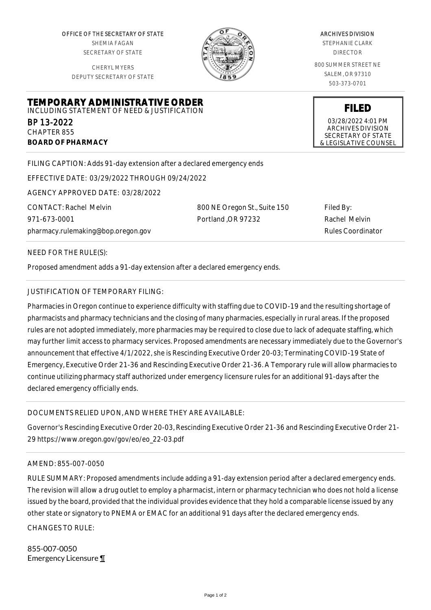OFFICE OF THE SECRETARY OF STATE SHEMIA FAGAN SECRETARY OF STATE

CHERYL MYERS DEPUTY SECRETARY OF STATE

**TEMPORARY ADMINISTRATIVE ORDER** INCLUDING STATEMENT OF NEED & JUSTIFICATION



## ARCHIVES DIVISION

STEPHANIE CLARK DIRECTOR

800 SUMMER STREET NE SALEM, OR 97310 503-373-0701

**FILED**

03/28/2022 4:01 PM ARCHIVES DIVISION SECRETARY OF STATE & LEGISLATIVE COUNSEL

FILING CAPTION: Adds 91-day extension after a declared emergency ends

EFFECTIVE DATE: 03/29/2022 THROUGH 09/24/2022

AGENCY APPROVED DATE: 03/28/2022

CONTACT: Rachel Melvin 971-673-0001 pharmacy.rulemaking@bop.oregon.gov 800 NE Oregon St., Suite 150 Portland ,OR 97232

Filed By: Rachel Melvin Rules Coordinator

NEED FOR THE RULE(S):

BP 13-2022 CHAPTER 855

**BOARD OF PHARMACY**

Proposed amendment adds a 91-day extension after a declared emergency ends.

## JUSTIFICATION OF TEMPORARY FILING:

Pharmacies in Oregon continue to experience difficulty with staffing due to COVID-19 and the resulting shortage of pharmacists and pharmacy technicians and the closing of many pharmacies, especially in rural areas. If the proposed rules are not adopted immediately, more pharmacies may be required to close due to lack of adequate staffing, which may further limit access to pharmacy services. Proposed amendments are necessary immediately due to the Governor's announcement that effective 4/1/2022, she is Rescinding Executive Order 20-03; Terminating COVID-19 State of Emergency, Executive Order 21-36 and Rescinding Executive Order 21-36. A Temporary rule will allow pharmacies to continue utilizing pharmacy staff authorized under emergency licensure rules for an additional 91-days after the declared emergency officially ends.

## DOCUMENTS RELIED UPON, AND WHERE THEY ARE AVAILABLE:

Governor's Rescinding Executive Order 20-03, Rescinding Executive Order 21-36 and Rescinding Executive Order 21- 29 https://www.oregon.gov/gov/eo/eo\_22-03.pdf

## AMEND: 855-007-0050

RULE SUMMARY: Proposed amendments include adding a 91-day extension period after a declared emergency ends. The revision will allow a drug outlet to employ a pharmacist, intern or pharmacy technician who does not hold a license issued by the board, provided that the individual provides evidence that they hold a comparable license issued by any other state or signatory to PNEMA or EMAC for an additional 91 days after the declared emergency ends.

CHANGES TO RULE:

855-007-0050 Emergency Licensure ¶